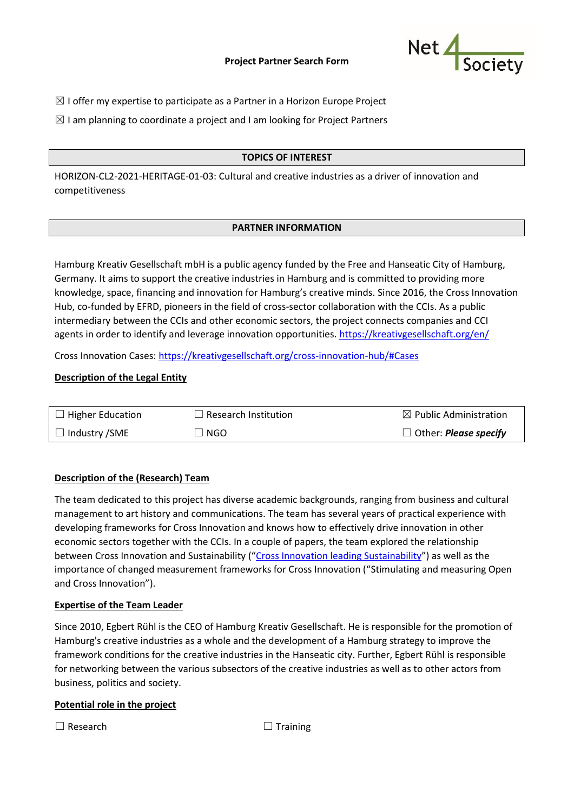# **Project Partner Search Form**



- $\boxtimes$  I offer my expertise to participate as a Partner in a Horizon Europe Project
- $\boxtimes$  I am planning to coordinate a project and I am looking for Project Partners

### **TOPICS OF INTEREST**

HORIZON-CL2-2021-HERITAGE-01-03: Cultural and creative industries as a driver of innovation and competitiveness

# **PARTNER INFORMATION**

Hamburg Kreativ Gesellschaft mbH is a public agency funded by the Free and Hanseatic City of Hamburg, Germany. It aims to support the creative industries in Hamburg and is committed to providing more knowledge, space, financing and innovation for Hamburg's creative minds. Since 2016, the Cross Innovation Hub, co-funded by EFRD, pioneers in the field of cross-sector collaboration with the CCIs. As a public intermediary between the CCIs and other economic sectors, the project connects companies and CCI agents in order to identify and leverage innovation opportunities.<https://kreativgesellschaft.org/en/>

Cross Innovation Cases[: https://kreativgesellschaft.org/cross-innovation-hub/#Cases](https://kreativgesellschaft.org/cross-innovation-hub/#Cases)

# **Description of the Legal Entity**

| $\Box$ Higher Education | $\Box$ Research Institution | $\boxtimes$ Public Administration   |
|-------------------------|-----------------------------|-------------------------------------|
| $\Box$ Industry /SME    | $\Box$ NGO $\Box$           | $\Box$ Other: <i>Please specify</i> |

### **Description of the (Research) Team**

The team dedicated to this project has diverse academic backgrounds, ranging from business and cultural management to art history and communications. The team has several years of practical experience with developing frameworks for Cross Innovation and knows how to effectively drive innovation in other economic sectors together with the CCIs. In a couple of papers, the team explored the relationship between Cross Innovation and Sustainability ("[Cross Innovation leading Sustainability](https://t1p.de/494x)") as well as the importance of changed measurement frameworks for Cross Innovation ("Stimulating and measuring Open and Cross Innovation").

### **Expertise of the Team Leader**

Since 2010, Egbert Rühl is the CEO of Hamburg Kreativ Gesellschaft. He is responsible for the promotion of Hamburg's creative industries as a whole and the development of a Hamburg strategy to improve the framework conditions for the creative industries in the Hanseatic city. Further, Egbert Rühl is responsible for networking between the various subsectors of the creative industries as well as to other actors from business, politics and society.

### **Potential role in the project**

☐ Research ☐ Training